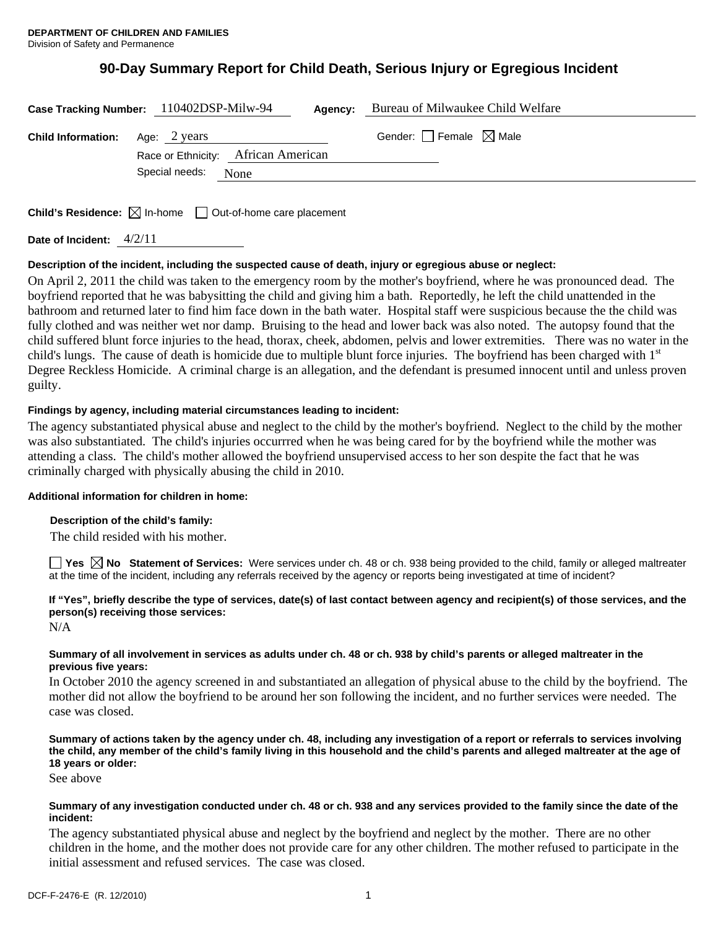# **90-Day Summary Report for Child Death, Serious Injury or Egregious Incident**

|                                        | Case Tracking Number: 110402DSP-Milw-94 | Agency: | Bureau of Milwaukee Child Welfare |
|----------------------------------------|-----------------------------------------|---------|-----------------------------------|
| <b>Child Information:</b> Age: 2 years | Race or Ethnicity: African American     |         | Gender: Female $\boxtimes$ Male   |
|                                        | Special needs:<br>None                  |         |                                   |

**Child's Residence:**  $\boxtimes$  In-home  $\Box$  Out-of-home care placement

**Date of Incident:** 4/2/11

# **Description of the incident, including the suspected cause of death, injury or egregious abuse or neglect:**

On April 2, 2011 the child was taken to the emergency room by the mother's boyfriend, where he was pronounced dead. The boyfriend reported that he was babysitting the child and giving him a bath. Reportedly, he left the child unattended in the bathroom and returned later to find him face down in the bath water. Hospital staff were suspicious because the the child was fully clothed and was neither wet nor damp. Bruising to the head and lower back was also noted. The autopsy found that the child suffered blunt force injuries to the head, thorax, cheek, abdomen, pelvis and lower extremities. There was no water in the child's lungs. The cause of death is homicide due to multiple blunt force injuries. The boyfriend has been charged with  $1<sup>st</sup>$ Degree Reckless Homicide. A criminal charge is an allegation, and the defendant is presumed innocent until and unless proven guilty.

# **Findings by agency, including material circumstances leading to incident:**

The agency substantiated physical abuse and neglect to the child by the mother's boyfriend. Neglect to the child by the mother was also substantiated. The child's injuries occurrred when he was being cared for by the boyfriend while the mother was attending a class. The child's mother allowed the boyfriend unsupervised access to her son despite the fact that he was criminally charged with physically abusing the child in 2010.

# **Additional information for children in home:**

# **Description of the child's family:**

The child resided with his mother.

**Yes No Statement of Services:** Were services under ch. 48 or ch. 938 being provided to the child, family or alleged maltreater at the time of the incident, including any referrals received by the agency or reports being investigated at time of incident?

# **If "Yes", briefly describe the type of services, date(s) of last contact between agency and recipient(s) of those services, and the person(s) receiving those services:**

N/A

# **Summary of all involvement in services as adults under ch. 48 or ch. 938 by child's parents or alleged maltreater in the previous five years:**

In October 2010 the agency screened in and substantiated an allegation of physical abuse to the child by the boyfriend. The mother did not allow the boyfriend to be around her son following the incident, and no further services were needed. The case was closed.

# **Summary of actions taken by the agency under ch. 48, including any investigation of a report or referrals to services involving the child, any member of the child's family living in this household and the child's parents and alleged maltreater at the age of 18 years or older:**

See above

### **Summary of any investigation conducted under ch. 48 or ch. 938 and any services provided to the family since the date of the incident:**

The agency substantiated physical abuse and neglect by the boyfriend and neglect by the mother. There are no other children in the home, and the mother does not provide care for any other children. The mother refused to participate in the initial assessment and refused services. The case was closed.